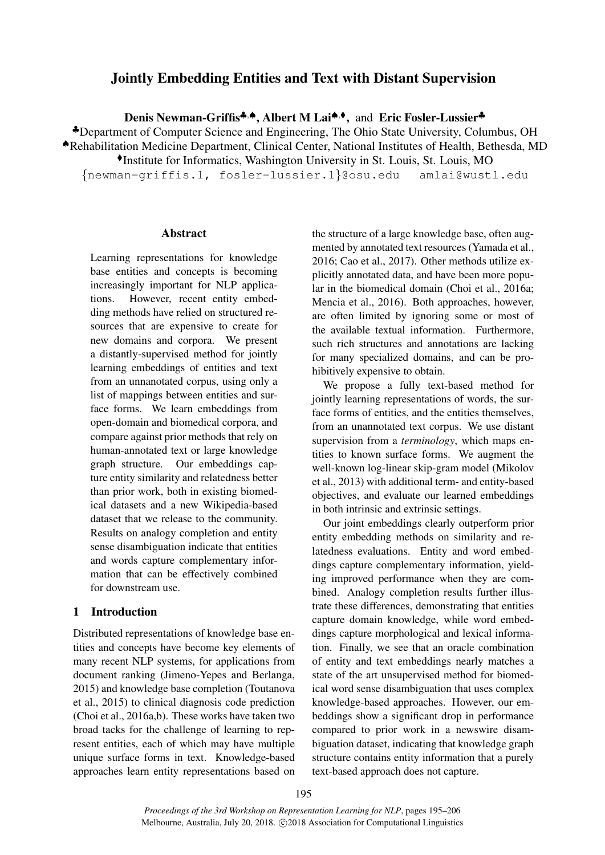# Jointly Embedding Entities and Text with Distant Supervision

Denis Newman-Griffis<sup>‡,▲</sup>, Albert M Lai<sup>▲,◆</sup>, and Eric Fosler-Lussier<sup>\*</sup>

♣Department of Computer Science and Engineering, The Ohio State University, Columbus, OH

♠Rehabilitation Medicine Department, Clinical Center, National Institutes of Health, Bethesda, MD

Institute for Informatics, Washington University in St. Louis, St. Louis, MO

{newman-griffis.1, fosler-lussier.1}@osu.edu amlai@wustl.edu

# Abstract

Learning representations for knowledge base entities and concepts is becoming increasingly important for NLP applications. However, recent entity embedding methods have relied on structured resources that are expensive to create for new domains and corpora. We present a distantly-supervised method for jointly learning embeddings of entities and text from an unnanotated corpus, using only a list of mappings between entities and surface forms. We learn embeddings from open-domain and biomedical corpora, and compare against prior methods that rely on human-annotated text or large knowledge graph structure. Our embeddings capture entity similarity and relatedness better than prior work, both in existing biomedical datasets and a new Wikipedia-based dataset that we release to the community. Results on analogy completion and entity sense disambiguation indicate that entities and words capture complementary information that can be effectively combined for downstream use.

### 1 Introduction

Distributed representations of knowledge base entities and concepts have become key elements of many recent NLP systems, for applications from document ranking (Jimeno-Yepes and Berlanga, 2015) and knowledge base completion (Toutanova et al., 2015) to clinical diagnosis code prediction (Choi et al., 2016a,b). These works have taken two broad tacks for the challenge of learning to represent entities, each of which may have multiple unique surface forms in text. Knowledge-based approaches learn entity representations based on the structure of a large knowledge base, often augmented by annotated text resources (Yamada et al., 2016; Cao et al., 2017). Other methods utilize explicitly annotated data, and have been more popular in the biomedical domain (Choi et al., 2016a; Mencia et al., 2016). Both approaches, however, are often limited by ignoring some or most of the available textual information. Furthermore, such rich structures and annotations are lacking for many specialized domains, and can be prohibitively expensive to obtain.

We propose a fully text-based method for jointly learning representations of words, the surface forms of entities, and the entities themselves, from an unannotated text corpus. We use distant supervision from a *terminology*, which maps entities to known surface forms. We augment the well-known log-linear skip-gram model (Mikolov et al., 2013) with additional term- and entity-based objectives, and evaluate our learned embeddings in both intrinsic and extrinsic settings.

Our joint embeddings clearly outperform prior entity embedding methods on similarity and relatedness evaluations. Entity and word embeddings capture complementary information, yielding improved performance when they are combined. Analogy completion results further illustrate these differences, demonstrating that entities capture domain knowledge, while word embeddings capture morphological and lexical information. Finally, we see that an oracle combination of entity and text embeddings nearly matches a state of the art unsupervised method for biomedical word sense disambiguation that uses complex knowledge-based approaches. However, our embeddings show a significant drop in performance compared to prior work in a newswire disambiguation dataset, indicating that knowledge graph structure contains entity information that a purely text-based approach does not capture.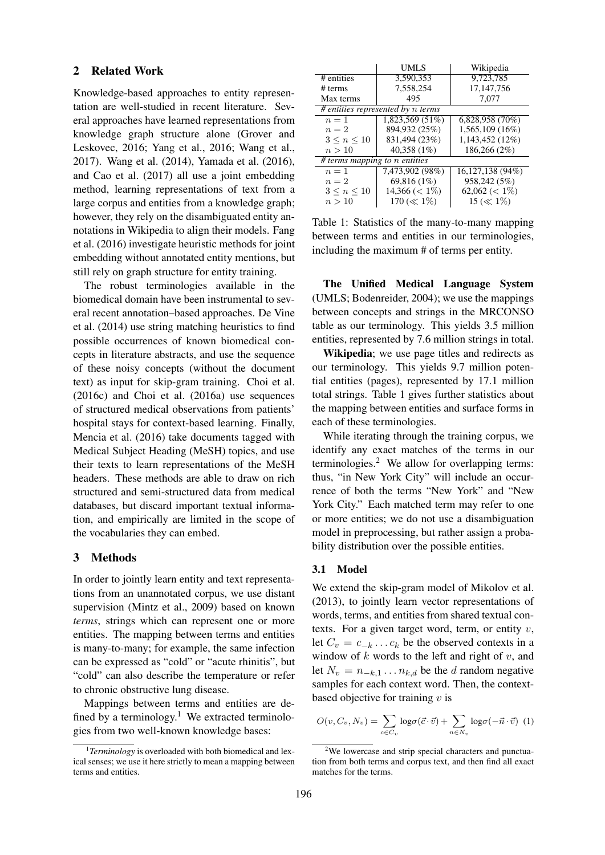### 2 Related Work

Knowledge-based approaches to entity representation are well-studied in recent literature. Several approaches have learned representations from knowledge graph structure alone (Grover and Leskovec, 2016; Yang et al., 2016; Wang et al., 2017). Wang et al. (2014), Yamada et al. (2016), and Cao et al. (2017) all use a joint embedding method, learning representations of text from a large corpus and entities from a knowledge graph; however, they rely on the disambiguated entity annotations in Wikipedia to align their models. Fang et al. (2016) investigate heuristic methods for joint embedding without annotated entity mentions, but still rely on graph structure for entity training.

The robust terminologies available in the biomedical domain have been instrumental to several recent annotation–based approaches. De Vine et al. (2014) use string matching heuristics to find possible occurrences of known biomedical concepts in literature abstracts, and use the sequence of these noisy concepts (without the document text) as input for skip-gram training. Choi et al. (2016c) and Choi et al. (2016a) use sequences of structured medical observations from patients' hospital stays for context-based learning. Finally, Mencia et al. (2016) take documents tagged with Medical Subject Heading (MeSH) topics, and use their texts to learn representations of the MeSH headers. These methods are able to draw on rich structured and semi-structured data from medical databases, but discard important textual information, and empirically are limited in the scope of the vocabularies they can embed.

## 3 Methods

In order to jointly learn entity and text representations from an unannotated corpus, we use distant supervision (Mintz et al., 2009) based on known *terms*, strings which can represent one or more entities. The mapping between terms and entities is many-to-many; for example, the same infection can be expressed as "cold" or "acute rhinitis", but "cold" can also describe the temperature or refer to chronic obstructive lung disease.

Mappings between terms and entities are defined by a terminology.<sup>1</sup> We extracted terminologies from two well-known knowledge bases:

|                               | UMLS                                | Wikipedia          |
|-------------------------------|-------------------------------------|--------------------|
| # entities                    | 3,590,353                           | 9,723,785          |
| # terms                       | 7,558,254                           | 17, 147, 756       |
| Max terms                     | 495                                 | 7,077              |
|                               | $#$ entities represented by n terms |                    |
| $n=1$                         | 1,823,569 (51%)                     | $6,828,958(70\%)$  |
| $n=2$                         | 894,932 (25%)                       | 1,565,109 (16%)    |
| $3 \leq n \leq 10$            | 831,494 (23%)                       | 1,143,452 (12%)    |
| n>10                          | 40,358 (1%)                         | 186,266 (2%)       |
| # terms mapping to n entities |                                     |                    |
| $n=1$                         | 7,473,902 (98%)                     | 16,127,138 (94%)   |
| $n=2$                         | 69,816 (1%)                         | 958,242 (5%)       |
| $3 \leq n \leq 10$            | $14,366 \,(< 1\%)$                  | $62,062 \ (< 1\%)$ |
| n>10                          | 170 ( $\ll 1\%$ )                   | 15 ( $\ll 1\%$ )   |

Table 1: Statistics of the many-to-many mapping between terms and entities in our terminologies, including the maximum # of terms per entity.

The Unified Medical Language System (UMLS; Bodenreider, 2004); we use the mappings between concepts and strings in the MRCONSO table as our terminology. This yields 3.5 million entities, represented by 7.6 million strings in total.

Wikipedia; we use page titles and redirects as our terminology. This yields 9.7 million potential entities (pages), represented by 17.1 million total strings. Table 1 gives further statistics about the mapping between entities and surface forms in each of these terminologies.

While iterating through the training corpus, we identify any exact matches of the terms in our terminologies. $<sup>2</sup>$  We allow for overlapping terms:</sup> thus, "in New York City" will include an occurrence of both the terms "New York" and "New York City." Each matched term may refer to one or more entities; we do not use a disambiguation model in preprocessing, but rather assign a probability distribution over the possible entities.

### 3.1 Model

We extend the skip-gram model of Mikolov et al. (2013), to jointly learn vector representations of words, terms, and entities from shared textual contexts. For a given target word, term, or entity  $v$ , let  $C_v = c_{-k} \dots c_k$  be the observed contexts in a window of  $k$  words to the left and right of  $v$ , and let  $N_v = n_{-k,1} \dots n_{k,d}$  be the d random negative samples for each context word. Then, the contextbased objective for training  $v$  is

$$
O(v, C_v, N_v) = \sum_{c \in C_v} \log \sigma(\vec{c} \cdot \vec{v}) + \sum_{n \in N_v} \log \sigma(-\vec{n} \cdot \vec{v}) \tag{1}
$$

<sup>&</sup>lt;sup>1</sup>Terminology is overloaded with both biomedical and lexical senses; we use it here strictly to mean a mapping between terms and entities.

<sup>&</sup>lt;sup>2</sup>We lowercase and strip special characters and punctuation from both terms and corpus text, and then find all exact matches for the terms.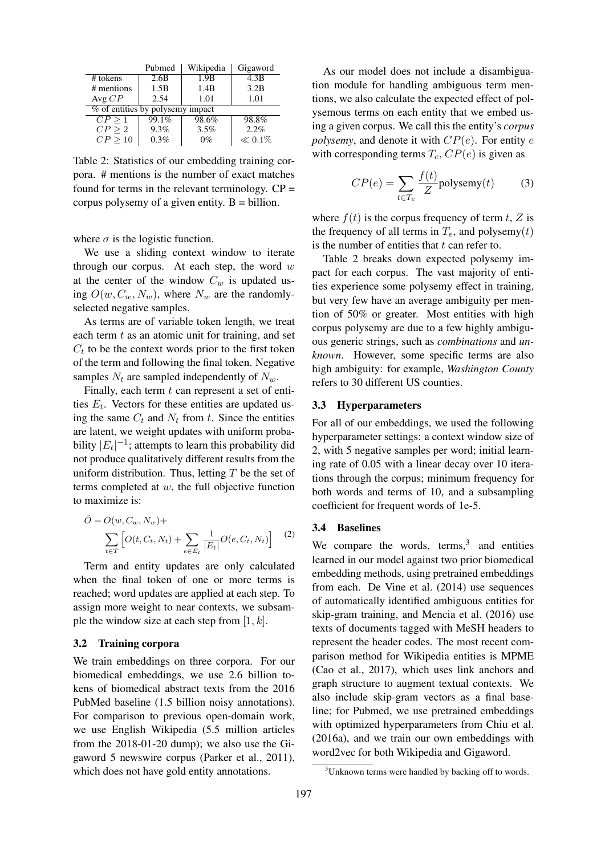|                                  | Pubmed | Wikipedia | Gigaword    |
|----------------------------------|--------|-----------|-------------|
| # tokens                         | 2.6B   | 1.9B      | 4.3B        |
| # mentions                       | 1.5B   | 1.4B      | 3.2B        |
| Avg $CP$                         | 2.54   | 1.01      | 1.01        |
| % of entities by polysemy impact |        |           |             |
| CP > 1                           | 99.1%  | 98.6%     | 98.8%       |
| CP > 2                           | 9.3%   | 3.5%      | 2.2%        |
| CP > 10                          | 0.3%   | $0\%$     | $\ll 0.1\%$ |

Table 2: Statistics of our embedding training corpora. # mentions is the number of exact matches found for terms in the relevant terminology.  $CP =$ corpus polysemy of a given entity.  $B = \text{billion}$ .

where  $\sigma$  is the logistic function.

We use a sliding context window to iterate through our corpus. At each step, the word  $w$ at the center of the window  $C_w$  is updated using  $O(w, C_w, N_w)$ , where  $N_w$  are the randomlyselected negative samples.

As terms are of variable token length, we treat each term  $t$  as an atomic unit for training, and set  $C_t$  to be the context words prior to the first token of the term and following the final token. Negative samples  $N_t$  are sampled independently of  $N_w$ .

Finally, each term  $t$  can represent a set of entities  $E_t$ . Vectors for these entities are updated using the same  $C_t$  and  $N_t$  from t. Since the entities are latent, we weight updates with uniform probability  $|E_t|^{-1}$ ; attempts to learn this probability did not produce qualitatively different results from the uniform distribution. Thus, letting  $T$  be the set of terms completed at  $w$ , the full objective function to maximize is:

$$
\hat{O} = O(w, C_w, N_w) + \sum_{t \in T} \left[ O(t, C_t, N_t) + \sum_{e \in E_t} \frac{1}{|E_t|} O(e, C_t, N_t) \right]
$$
(2)

Term and entity updates are only calculated when the final token of one or more terms is reached; word updates are applied at each step. To assign more weight to near contexts, we subsample the window size at each step from  $[1, k]$ .

### 3.2 Training corpora

We train embeddings on three corpora. For our biomedical embeddings, we use 2.6 billion tokens of biomedical abstract texts from the 2016 PubMed baseline (1.5 billion noisy annotations). For comparison to previous open-domain work, we use English Wikipedia (5.5 million articles from the 2018-01-20 dump); we also use the Gigaword 5 newswire corpus (Parker et al., 2011), which does not have gold entity annotations.

As our model does not include a disambiguation module for handling ambiguous term mentions, we also calculate the expected effect of polysemous terms on each entity that we embed using a given corpus. We call this the entity's *corpus polysemy*, and denote it with  $CP(e)$ . For entity e with corresponding terms  $T_e$ ,  $CP(e)$  is given as

$$
CP(e) = \sum_{t \in T_e} \frac{f(t)}{Z} \text{polysemy}(t) \tag{3}
$$

where  $f(t)$  is the corpus frequency of term t, Z is the frequency of all terms in  $T_e$ , and polysemy(t) is the number of entities that  $t$  can refer to.

Table 2 breaks down expected polysemy impact for each corpus. The vast majority of entities experience some polysemy effect in training, but very few have an average ambiguity per mention of 50% or greater. Most entities with high corpus polysemy are due to a few highly ambiguous generic strings, such as *combinations* and *unknown*. However, some specific terms are also high ambiguity: for example, *Washington County* refers to 30 different US counties.

## 3.3 Hyperparameters

For all of our embeddings, we used the following hyperparameter settings: a context window size of 2, with 5 negative samples per word; initial learning rate of 0.05 with a linear decay over 10 iterations through the corpus; minimum frequency for both words and terms of 10, and a subsampling coefficient for frequent words of 1e-5.

### 3.4 Baselines

We compare the words,  $terms<sup>3</sup>$ , and entities learned in our model against two prior biomedical embedding methods, using pretrained embeddings from each. De Vine et al. (2014) use sequences of automatically identified ambiguous entities for skip-gram training, and Mencia et al. (2016) use texts of documents tagged with MeSH headers to represent the header codes. The most recent comparison method for Wikipedia entities is MPME (Cao et al., 2017), which uses link anchors and graph structure to augment textual contexts. We also include skip-gram vectors as a final baseline; for Pubmed, we use pretrained embeddings with optimized hyperparameters from Chiu et al. (2016a), and we train our own embeddings with word2vec for both Wikipedia and Gigaword.

<sup>&</sup>lt;sup>3</sup>Unknown terms were handled by backing off to words.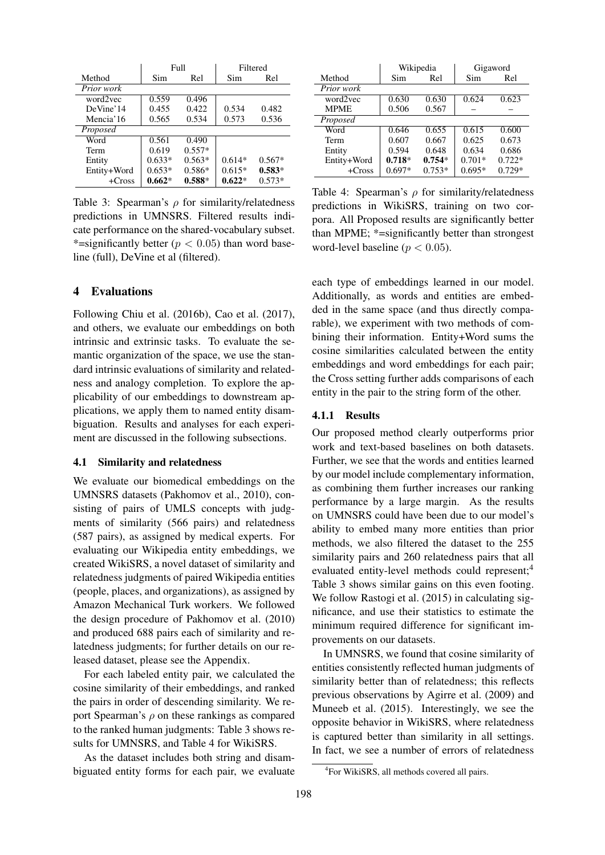|             | Full     |          | Filtered |          |
|-------------|----------|----------|----------|----------|
| Method      | Sim      | Rel      | Sim      | Rel      |
| Prior work  |          |          |          |          |
| word2vec    | 0.559    | 0.496    |          |          |
| DeVine'14   | 0.455    | 0.422    | 0.534    | 0.482    |
| Mencia'16   | 0.565    | 0.534    | 0.573    | 0.536    |
| Proposed    |          |          |          |          |
| Word        | 0.561    | 0.490    |          |          |
| Term        | 0.619    | $0.557*$ |          |          |
| Entity      | $0.633*$ | $0.563*$ | $0.614*$ | $0.567*$ |
| Entity+Word | $0.653*$ | $0.586*$ | $0.615*$ | $0.583*$ |
| $+Cross$    | $0.662*$ | $0.588*$ | $0.622*$ | $0.573*$ |

Table 3: Spearman's  $\rho$  for similarity/relatedness predictions in UMNSRS. Filtered results indicate performance on the shared-vocabulary subset. \*=significantly better ( $p < 0.05$ ) than word baseline (full), DeVine et al (filtered).

### 4 Evaluations

Following Chiu et al. (2016b), Cao et al. (2017), and others, we evaluate our embeddings on both intrinsic and extrinsic tasks. To evaluate the semantic organization of the space, we use the standard intrinsic evaluations of similarity and relatedness and analogy completion. To explore the applicability of our embeddings to downstream applications, we apply them to named entity disambiguation. Results and analyses for each experiment are discussed in the following subsections.

# 4.1 Similarity and relatedness

We evaluate our biomedical embeddings on the UMNSRS datasets (Pakhomov et al., 2010), consisting of pairs of UMLS concepts with judgments of similarity (566 pairs) and relatedness (587 pairs), as assigned by medical experts. For evaluating our Wikipedia entity embeddings, we created WikiSRS, a novel dataset of similarity and relatedness judgments of paired Wikipedia entities (people, places, and organizations), as assigned by Amazon Mechanical Turk workers. We followed the design procedure of Pakhomov et al. (2010) and produced 688 pairs each of similarity and relatedness judgments; for further details on our released dataset, please see the Appendix.

For each labeled entity pair, we calculated the cosine similarity of their embeddings, and ranked the pairs in order of descending similarity. We report Spearman's  $\rho$  on these rankings as compared to the ranked human judgments: Table 3 shows results for UMNSRS, and Table 4 for WikiSRS.

As the dataset includes both string and disambiguated entity forms for each pair, we evaluate

|             | Wikipedia |          | Gigaword |          |
|-------------|-----------|----------|----------|----------|
| Method      | Sim       | Rel      | Sim      | Rel      |
| Prior work  |           |          |          |          |
| word2vec    | 0.630     | 0.630    | 0.624    | 0.623    |
| <b>MPME</b> | 0.506     | 0.567    |          |          |
| Proposed    |           |          |          |          |
| Word        | 0.646     | 0.655    | 0.615    | 0.600    |
| Term        | 0.607     | 0.667    | 0.625    | 0.673    |
| Entity      | 0.594     | 0.648    | 0.634    | 0.686    |
| Entity+Word | $0.718*$  | $0.754*$ | $0.701*$ | $0.722*$ |
| $+Cross$    | $0.697*$  | $0.753*$ | $0.695*$ | $0.729*$ |

Table 4: Spearman's  $\rho$  for similarity/relatedness predictions in WikiSRS, training on two corpora. All Proposed results are significantly better than MPME; \*=significantly better than strongest word-level baseline ( $p < 0.05$ ).

each type of embeddings learned in our model. Additionally, as words and entities are embedded in the same space (and thus directly comparable), we experiment with two methods of combining their information. Entity+Word sums the cosine similarities calculated between the entity embeddings and word embeddings for each pair; the Cross setting further adds comparisons of each entity in the pair to the string form of the other.

### 4.1.1 Results

Our proposed method clearly outperforms prior work and text-based baselines on both datasets. Further, we see that the words and entities learned by our model include complementary information, as combining them further increases our ranking performance by a large margin. As the results on UMNSRS could have been due to our model's ability to embed many more entities than prior methods, we also filtered the dataset to the 255 similarity pairs and 260 relatedness pairs that all evaluated entity-level methods could represent;<sup>4</sup> Table 3 shows similar gains on this even footing. We follow Rastogi et al. (2015) in calculating significance, and use their statistics to estimate the minimum required difference for significant improvements on our datasets.

In UMNSRS, we found that cosine similarity of entities consistently reflected human judgments of similarity better than of relatedness; this reflects previous observations by Agirre et al. (2009) and Muneeb et al. (2015). Interestingly, we see the opposite behavior in WikiSRS, where relatedness is captured better than similarity in all settings. In fact, we see a number of errors of relatedness

<sup>4</sup> For WikiSRS, all methods covered all pairs.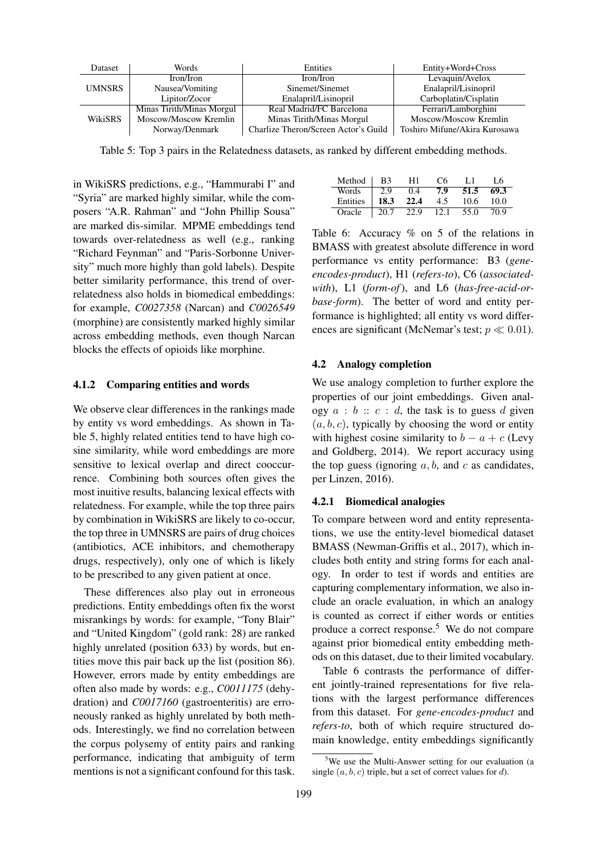| Dataset       | Words                     | Entities                             | Entity+Word+Cross             |
|---------------|---------------------------|--------------------------------------|-------------------------------|
|               | Iron/Iron                 | Iron/Iron                            | Levaquin/Avelox               |
| <b>UMNSRS</b> | Nausea/Vomiting           | Sinemet/Sinemet                      | Enalapril/Lisinopril          |
|               | Lipitor/Zocor             | Enalapril/Lisinopril                 | Carboplatin/Cisplatin         |
|               | Minas Tirith/Minas Morgul | Real Madrid/FC Barcelona             | Ferrari/Lamborghini           |
| WikiSRS       | Moscow/Moscow Kremlin     | Minas Tirith/Minas Morgul            | Moscow/Moscow Kremlin         |
|               | Norway/Denmark            | Charlize Theron/Screen Actor's Guild | Toshiro Mifune/Akira Kurosawa |

Table 5: Top 3 pairs in the Relatedness datasets, as ranked by different embedding methods.

in WikiSRS predictions, e.g., "Hammurabi I" and "Syria" are marked highly similar, while the composers "A.R. Rahman" and "John Phillip Sousa" are marked dis-similar. MPME embeddings tend towards over-relatedness as well (e.g., ranking "Richard Feynman" and "Paris-Sorbonne University" much more highly than gold labels). Despite better similarity performance, this trend of overrelatedness also holds in biomedical embeddings: for example, *C0027358* (Narcan) and *C0026549* (morphine) are consistently marked highly similar across embedding methods, even though Narcan blocks the effects of opioids like morphine.

### 4.1.2 Comparing entities and words

We observe clear differences in the rankings made by entity vs word embeddings. As shown in Table 5, highly related entities tend to have high cosine similarity, while word embeddings are more sensitive to lexical overlap and direct cooccurrence. Combining both sources often gives the most inuitive results, balancing lexical effects with relatedness. For example, while the top three pairs by combination in WikiSRS are likely to co-occur, the top three in UMNSRS are pairs of drug choices (antibiotics, ACE inhibitors, and chemotherapy drugs, respectively), only one of which is likely to be prescribed to any given patient at once.

These differences also play out in erroneous predictions. Entity embeddings often fix the worst misrankings by words: for example, "Tony Blair" and "United Kingdom" (gold rank: 28) are ranked highly unrelated (position 633) by words, but entities move this pair back up the list (position 86). However, errors made by entity embeddings are often also made by words: e.g., *C0011175* (dehydration) and *C0017160* (gastroenteritis) are erroneously ranked as highly unrelated by both methods. Interestingly, we find no correlation between the corpus polysemy of entity pairs and ranking performance, indicating that ambiguity of term mentions is not a significant confound for this task.

| Method   | B3   | H1   | C6   | LТ   | I 6  |
|----------|------|------|------|------|------|
| Words    | 2.9  | 0.4  | 7.9  | 51.5 | 69.3 |
| Entities | 18.3 | 22.4 | 4.5  | 10.6 | 10.0 |
| Oracle   | 20.7 | 22.9 | 12.1 | 55.0 | 70.9 |

Table 6: Accuracy % on 5 of the relations in BMASS with greatest absolute difference in word performance vs entity performance: B3 (*geneencodes-product*), H1 (*refers-to*), C6 (*associatedwith*), L1 (*form-of*), and L6 (*has-free-acid-orbase-form*). The better of word and entity performance is highlighted; all entity vs word differences are significant (McNemar's test;  $p \ll 0.01$ ).

#### 4.2 Analogy completion

We use analogy completion to further explore the properties of our joint embeddings. Given analogy  $a : b :: c : d$ , the task is to guess d given  $(a, b, c)$ , typically by choosing the word or entity with highest cosine similarity to  $b - a + c$  (Levy and Goldberg, 2014). We report accuracy using the top guess (ignoring  $a, b$ , and  $c$  as candidates, per Linzen, 2016).

#### 4.2.1 Biomedical analogies

To compare between word and entity representations, we use the entity-level biomedical dataset BMASS (Newman-Griffis et al., 2017), which includes both entity and string forms for each analogy. In order to test if words and entities are capturing complementary information, we also include an oracle evaluation, in which an analogy is counted as correct if either words or entities produce a correct response.<sup>5</sup> We do not compare against prior biomedical entity embedding methods on this dataset, due to their limited vocabulary.

Table 6 contrasts the performance of different jointly-trained representations for five relations with the largest performance differences from this dataset. For *gene-encodes-product* and *refers-to*, both of which require structured domain knowledge, entity embeddings significantly

 $5$ We use the Multi-Answer setting for our evaluation (a single  $(a, b, c)$  triple, but a set of correct values for d).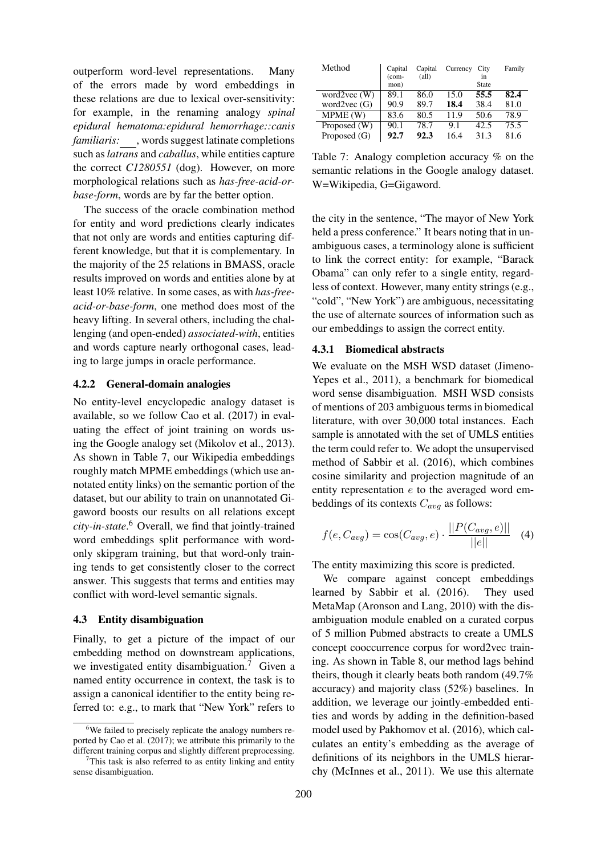outperform word-level representations. Many of the errors made by word embeddings in these relations are due to lexical over-sensitivity: for example, in the renaming analogy *spinal epidural hematoma:epidural hemorrhage::canis familiaris:* , words suggest latinate completions such as *latrans* and *caballus*, while entities capture the correct *C1280551* (dog). However, on more morphological relations such as *has-free-acid-orbase-form*, words are by far the better option.

The success of the oracle combination method for entity and word predictions clearly indicates that not only are words and entities capturing different knowledge, but that it is complementary. In the majority of the 25 relations in BMASS, oracle results improved on words and entities alone by at least 10% relative. In some cases, as with *has-freeacid-or-base-form*, one method does most of the heavy lifting. In several others, including the challenging (and open-ended) *associated-with*, entities and words capture nearly orthogonal cases, leading to large jumps in oracle performance.

### 4.2.2 General-domain analogies

No entity-level encyclopedic analogy dataset is available, so we follow Cao et al. (2017) in evaluating the effect of joint training on words using the Google analogy set (Mikolov et al., 2013). As shown in Table 7, our Wikipedia embeddings roughly match MPME embeddings (which use annotated entity links) on the semantic portion of the dataset, but our ability to train on unannotated Gigaword boosts our results on all relations except *city-in-state*. <sup>6</sup> Overall, we find that jointly-trained word embeddings split performance with wordonly skipgram training, but that word-only training tends to get consistently closer to the correct answer. This suggests that terms and entities may conflict with word-level semantic signals.

#### 4.3 Entity disambiguation

Finally, to get a picture of the impact of our embedding method on downstream applications, we investigated entity disambiguation.<sup>7</sup> Given a named entity occurrence in context, the task is to assign a canonical identifier to the entity being referred to: e.g., to mark that "New York" refers to

| Method             | Capital<br>$(com-$ | Capital<br>$\text{(all)}$ | Currency | City<br>in. | Family |
|--------------------|--------------------|---------------------------|----------|-------------|--------|
|                    | mon)               |                           |          | State       |        |
| word $2$ vec $(W)$ | 89.1               | 86.0                      | 15.0     | 55.5        | 82.4   |
| word $2$ vec $(G)$ | 90.9               | 89.7                      | 18.4     | 38.4        | 81.0   |
| MPME (W)           | 83.6               | 80.5                      | 11.9     | 50.6        | 78.9   |
| Proposed (W)       | 90.1               | 78.7                      | 9.1      | 42.5        | 75.5   |
| Proposed $(G)$     | 92.7               | 92.3                      | 16.4     | 31.3        | 81.6   |

Table 7: Analogy completion accuracy % on the semantic relations in the Google analogy dataset. W=Wikipedia, G=Gigaword.

the city in the sentence, "The mayor of New York held a press conference." It bears noting that in unambiguous cases, a terminology alone is sufficient to link the correct entity: for example, "Barack Obama" can only refer to a single entity, regardless of context. However, many entity strings (e.g., "cold", "New York") are ambiguous, necessitating the use of alternate sources of information such as our embeddings to assign the correct entity.

### 4.3.1 Biomedical abstracts

We evaluate on the MSH WSD dataset (Jimeno-Yepes et al., 2011), a benchmark for biomedical word sense disambiguation. MSH WSD consists of mentions of 203 ambiguous terms in biomedical literature, with over 30,000 total instances. Each sample is annotated with the set of UMLS entities the term could refer to. We adopt the unsupervised method of Sabbir et al. (2016), which combines cosine similarity and projection magnitude of an entity representation  $e$  to the averaged word embeddings of its contexts  $C_{avg}$  as follows:

$$
f(e, C_{avg}) = \cos(C_{avg}, e) \cdot \frac{||P(C_{avg}, e)||}{||e||} \quad (4)
$$

The entity maximizing this score is predicted.

We compare against concept embeddings learned by Sabbir et al. (2016). They used MetaMap (Aronson and Lang, 2010) with the disambiguation module enabled on a curated corpus of 5 million Pubmed abstracts to create a UMLS concept cooccurrence corpus for word2vec training. As shown in Table 8, our method lags behind theirs, though it clearly beats both random (49.7% accuracy) and majority class (52%) baselines. In addition, we leverage our jointly-embedded entities and words by adding in the definition-based model used by Pakhomov et al. (2016), which calculates an entity's embedding as the average of definitions of its neighbors in the UMLS hierarchy (McInnes et al., 2011). We use this alternate

 $6$ We failed to precisely replicate the analogy numbers reported by Cao et al. (2017); we attribute this primarily to the different training corpus and slightly different preprocessing.

 $7$ This task is also referred to as entity linking and entity sense disambiguation.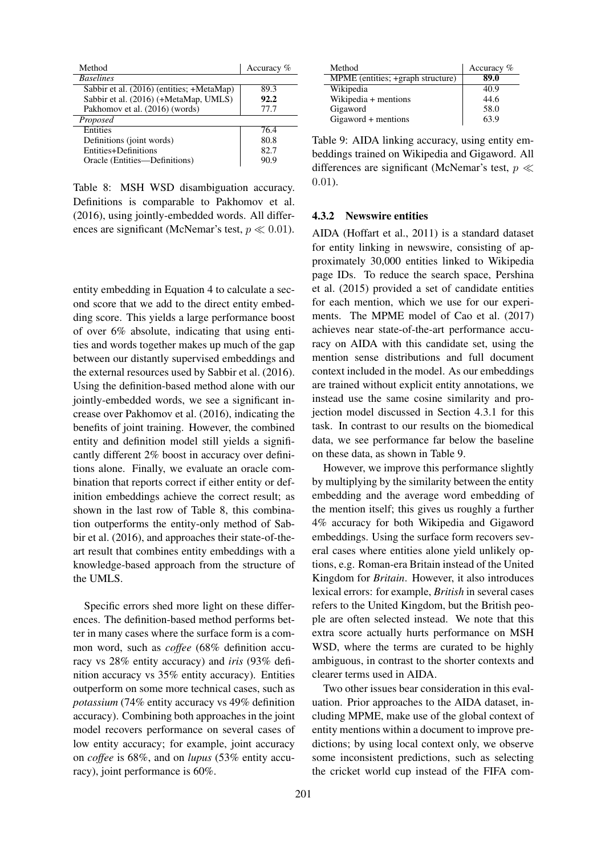| Method                                    | Accuracy % |
|-------------------------------------------|------------|
| <b>Baselines</b>                          |            |
| Sabbir et al. (2016) (entities; +MetaMap) | 89.3       |
| Sabbir et al. (2016) (+MetaMap, UMLS)     | 92.2       |
| Pakhomov et al. (2016) (words)            | 77.7       |
| Proposed                                  |            |
| <b>Entities</b>                           | 76.4       |
| Definitions (joint words)                 | 80.8       |
| Entities+Definitions                      | 82.7       |
| Oracle (Entities—Definitions)             | 90 9       |
|                                           |            |

Table 8: MSH WSD disambiguation accuracy. Definitions is comparable to Pakhomov et al. (2016), using jointly-embedded words. All differences are significant (McNemar's test,  $p \ll 0.01$ ).

entity embedding in Equation 4 to calculate a second score that we add to the direct entity embedding score. This yields a large performance boost of over 6% absolute, indicating that using entities and words together makes up much of the gap between our distantly supervised embeddings and the external resources used by Sabbir et al. (2016). Using the definition-based method alone with our jointly-embedded words, we see a significant increase over Pakhomov et al. (2016), indicating the benefits of joint training. However, the combined entity and definition model still yields a significantly different 2% boost in accuracy over definitions alone. Finally, we evaluate an oracle combination that reports correct if either entity or definition embeddings achieve the correct result; as shown in the last row of Table 8, this combination outperforms the entity-only method of Sabbir et al. (2016), and approaches their state-of-theart result that combines entity embeddings with a knowledge-based approach from the structure of the UMLS.

Specific errors shed more light on these differences. The definition-based method performs better in many cases where the surface form is a common word, such as *coffee* (68% definition accuracy vs 28% entity accuracy) and *iris* (93% definition accuracy vs 35% entity accuracy). Entities outperform on some more technical cases, such as *potassium* (74% entity accuracy vs 49% definition accuracy). Combining both approaches in the joint model recovers performance on several cases of low entity accuracy; for example, joint accuracy on *coffee* is 68%, and on *lupus* (53% entity accuracy), joint performance is 60%.

| Method                            | Accuracy $%$ |
|-----------------------------------|--------------|
| MPME (entities; +graph structure) | 89.0         |
| Wikipedia                         | 40.9         |
| Wikipedia + mentions              | 44.6         |
| Gigaword                          | 58.0         |
| Gigaword + mentions               | 63.9         |

Table 9: AIDA linking accuracy, using entity embeddings trained on Wikipedia and Gigaword. All differences are significant (McNemar's test,  $p \ll$ 0.01).

### 4.3.2 Newswire entities

AIDA (Hoffart et al., 2011) is a standard dataset for entity linking in newswire, consisting of approximately 30,000 entities linked to Wikipedia page IDs. To reduce the search space, Pershina et al. (2015) provided a set of candidate entities for each mention, which we use for our experiments. The MPME model of Cao et al. (2017) achieves near state-of-the-art performance accuracy on AIDA with this candidate set, using the mention sense distributions and full document context included in the model. As our embeddings are trained without explicit entity annotations, we instead use the same cosine similarity and projection model discussed in Section 4.3.1 for this task. In contrast to our results on the biomedical data, we see performance far below the baseline on these data, as shown in Table 9.

However, we improve this performance slightly by multiplying by the similarity between the entity embedding and the average word embedding of the mention itself; this gives us roughly a further 4% accuracy for both Wikipedia and Gigaword embeddings. Using the surface form recovers several cases where entities alone yield unlikely options, e.g. Roman-era Britain instead of the United Kingdom for *Britain*. However, it also introduces lexical errors: for example, *British* in several cases refers to the United Kingdom, but the British people are often selected instead. We note that this extra score actually hurts performance on MSH WSD, where the terms are curated to be highly ambiguous, in contrast to the shorter contexts and clearer terms used in AIDA.

Two other issues bear consideration in this evaluation. Prior approaches to the AIDA dataset, including MPME, make use of the global context of entity mentions within a document to improve predictions; by using local context only, we observe some inconsistent predictions, such as selecting the cricket world cup instead of the FIFA com-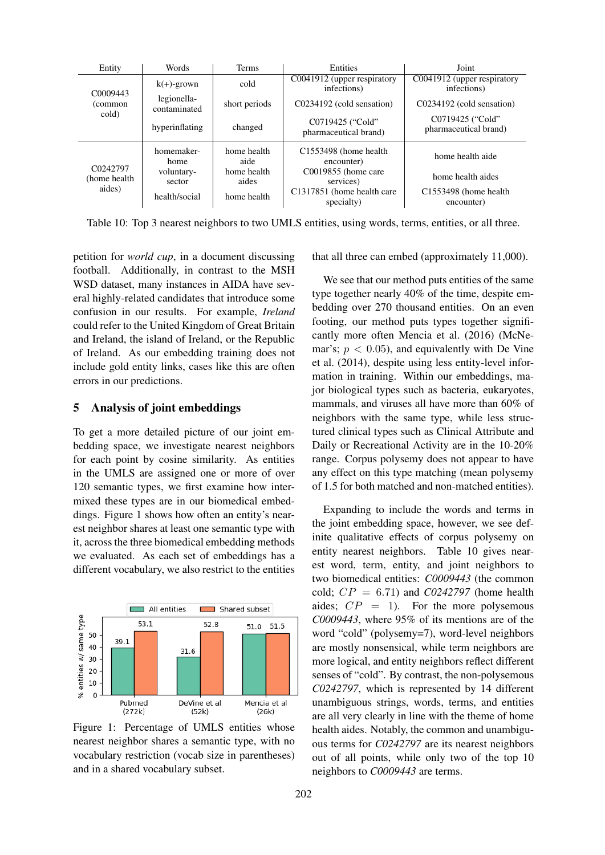| Entity                              | Words                       | <b>Terms</b>         | Entities                                   | Joint                                            |
|-------------------------------------|-----------------------------|----------------------|--------------------------------------------|--------------------------------------------------|
|                                     | $k(+)$ -grown               | cold                 | C0041912 (upper respiratory<br>infections) | C0041912 (upper respiratory<br>infections)       |
| C <sub>0</sub> 009443<br>(common    | legionella-<br>contaminated | short periods        | C0234192 (cold sensation)                  | C0234192 (cold sensation)                        |
| cold)                               | hyperinflating              | changed              | C0719425 ("Cold"<br>pharmaceutical brand)  | C0719425 ("Cold"<br>pharmaceutical brand)        |
|                                     | homemaker-<br>home          | home health<br>aide  | C1553498 (home health)<br>encounter)       | home health aide                                 |
| C0242797<br>(home health)<br>aides) | voluntary-<br>sector        | home health<br>aides | C0019855 (home care<br>services)           | home health aides                                |
|                                     | health/social               | home health          | C1317851 (home health care<br>specialty)   | C <sub>155</sub> 3498 (home health<br>encounter) |

Table 10: Top 3 nearest neighbors to two UMLS entities, using words, terms, entities, or all three.

petition for *world cup*, in a document discussing football. Additionally, in contrast to the MSH WSD dataset, many instances in AIDA have several highly-related candidates that introduce some confusion in our results. For example, *Ireland* could refer to the United Kingdom of Great Britain and Ireland, the island of Ireland, or the Republic of Ireland. As our embedding training does not include gold entity links, cases like this are often errors in our predictions.

# 5 Analysis of joint embeddings

To get a more detailed picture of our joint embedding space, we investigate nearest neighbors for each point by cosine similarity. As entities in the UMLS are assigned one or more of over 120 semantic types, we first examine how intermixed these types are in our biomedical embeddings. Figure 1 shows how often an entity's nearest neighbor shares at least one semantic type with it, across the three biomedical embedding methods we evaluated. As each set of embeddings has a different vocabulary, we also restrict to the entities



Figure 1: Percentage of UMLS entities whose nearest neighbor shares a semantic type, with no vocabulary restriction (vocab size in parentheses) and in a shared vocabulary subset.

that all three can embed (approximately 11,000).

We see that our method puts entities of the same type together nearly 40% of the time, despite embedding over 270 thousand entities. On an even footing, our method puts types together significantly more often Mencia et al. (2016) (McNemar's;  $p < 0.05$ ), and equivalently with De Vine et al. (2014), despite using less entity-level information in training. Within our embeddings, major biological types such as bacteria, eukaryotes, mammals, and viruses all have more than 60% of neighbors with the same type, while less structured clinical types such as Clinical Attribute and Daily or Recreational Activity are in the 10-20% range. Corpus polysemy does not appear to have any effect on this type matching (mean polysemy of 1.5 for both matched and non-matched entities).

Expanding to include the words and terms in the joint embedding space, however, we see definite qualitative effects of corpus polysemy on entity nearest neighbors. Table 10 gives nearest word, term, entity, and joint neighbors to two biomedical entities: *C0009443* (the common cold; CP = 6.71) and *C0242797* (home health aides;  $CP = 1$ . For the more polysemous *C0009443*, where 95% of its mentions are of the word "cold" (polysemy=7), word-level neighbors are mostly nonsensical, while term neighbors are more logical, and entity neighbors reflect different senses of "cold". By contrast, the non-polysemous *C0242797*, which is represented by 14 different unambiguous strings, words, terms, and entities are all very clearly in line with the theme of home health aides. Notably, the common and unambiguous terms for *C0242797* are its nearest neighbors out of all points, while only two of the top 10 neighbors to *C0009443* are terms.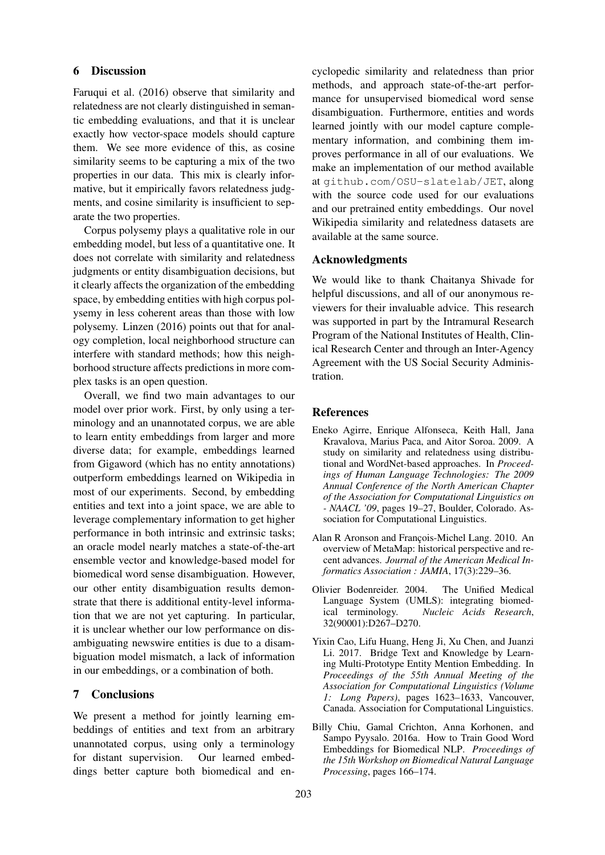# 6 Discussion

Faruqui et al. (2016) observe that similarity and relatedness are not clearly distinguished in semantic embedding evaluations, and that it is unclear exactly how vector-space models should capture them. We see more evidence of this, as cosine similarity seems to be capturing a mix of the two properties in our data. This mix is clearly informative, but it empirically favors relatedness judgments, and cosine similarity is insufficient to separate the two properties.

Corpus polysemy plays a qualitative role in our embedding model, but less of a quantitative one. It does not correlate with similarity and relatedness judgments or entity disambiguation decisions, but it clearly affects the organization of the embedding space, by embedding entities with high corpus polysemy in less coherent areas than those with low polysemy. Linzen (2016) points out that for analogy completion, local neighborhood structure can interfere with standard methods; how this neighborhood structure affects predictions in more complex tasks is an open question.

Overall, we find two main advantages to our model over prior work. First, by only using a terminology and an unannotated corpus, we are able to learn entity embeddings from larger and more diverse data; for example, embeddings learned from Gigaword (which has no entity annotations) outperform embeddings learned on Wikipedia in most of our experiments. Second, by embedding entities and text into a joint space, we are able to leverage complementary information to get higher performance in both intrinsic and extrinsic tasks; an oracle model nearly matches a state-of-the-art ensemble vector and knowledge-based model for biomedical word sense disambiguation. However, our other entity disambiguation results demonstrate that there is additional entity-level information that we are not yet capturing. In particular, it is unclear whether our low performance on disambiguating newswire entities is due to a disambiguation model mismatch, a lack of information in our embeddings, or a combination of both.

# 7 Conclusions

We present a method for jointly learning embeddings of entities and text from an arbitrary unannotated corpus, using only a terminology for distant supervision. Our learned embeddings better capture both biomedical and encyclopedic similarity and relatedness than prior methods, and approach state-of-the-art performance for unsupervised biomedical word sense disambiguation. Furthermore, entities and words learned jointly with our model capture complementary information, and combining them improves performance in all of our evaluations. We make an implementation of our method available at github.com/OSU-slatelab/JET, along with the source code used for our evaluations and our pretrained entity embeddings. Our novel Wikipedia similarity and relatedness datasets are available at the same source.

# Acknowledgments

We would like to thank Chaitanya Shivade for helpful discussions, and all of our anonymous reviewers for their invaluable advice. This research was supported in part by the Intramural Research Program of the National Institutes of Health, Clinical Research Center and through an Inter-Agency Agreement with the US Social Security Administration.

### References

- Eneko Agirre, Enrique Alfonseca, Keith Hall, Jana Kravalova, Marius Paca, and Aitor Soroa. 2009. A study on similarity and relatedness using distributional and WordNet-based approaches. In *Proceedings of Human Language Technologies: The 2009 Annual Conference of the North American Chapter of the Association for Computational Linguistics on - NAACL '09*, pages 19–27, Boulder, Colorado. Association for Computational Linguistics.
- Alan R Aronson and François-Michel Lang. 2010. An overview of MetaMap: historical perspective and recent advances. *Journal of the American Medical Informatics Association : JAMIA*, 17(3):229–36.
- Olivier Bodenreider. 2004. The Unified Medical Language System (UMLS): integrating biomedical terminology. *Nucleic Acids Research*, 32(90001):D267–D270.
- Yixin Cao, Lifu Huang, Heng Ji, Xu Chen, and Juanzi Li. 2017. Bridge Text and Knowledge by Learning Multi-Prototype Entity Mention Embedding. In *Proceedings of the 55th Annual Meeting of the Association for Computational Linguistics (Volume 1: Long Papers)*, pages 1623–1633, Vancouver, Canada. Association for Computational Linguistics.
- Billy Chiu, Gamal Crichton, Anna Korhonen, and Sampo Pyysalo. 2016a. How to Train Good Word Embeddings for Biomedical NLP. *Proceedings of the 15th Workshop on Biomedical Natural Language Processing*, pages 166–174.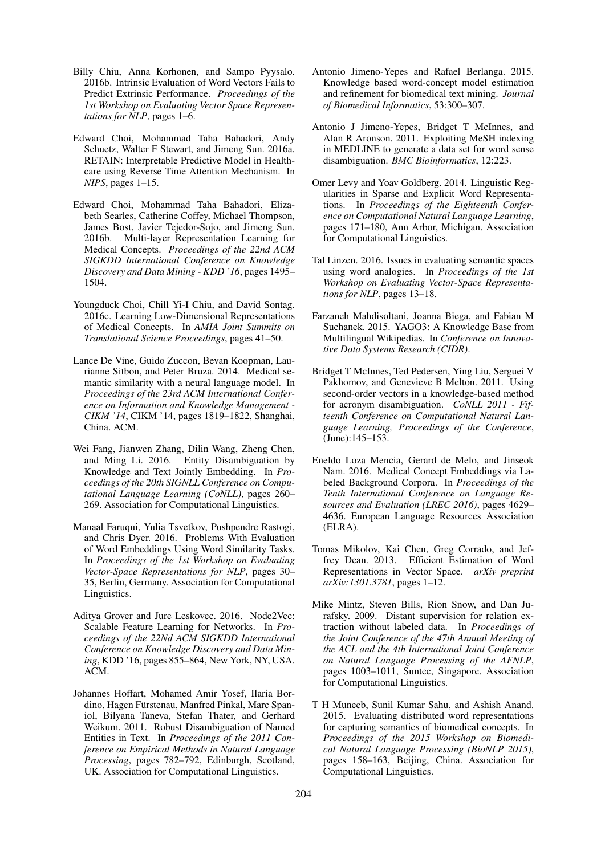- Billy Chiu, Anna Korhonen, and Sampo Pyysalo. 2016b. Intrinsic Evaluation of Word Vectors Fails to Predict Extrinsic Performance. *Proceedings of the 1st Workshop on Evaluating Vector Space Representations for NLP*, pages 1–6.
- Edward Choi, Mohammad Taha Bahadori, Andy Schuetz, Walter F Stewart, and Jimeng Sun. 2016a. RETAIN: Interpretable Predictive Model in Healthcare using Reverse Time Attention Mechanism. In *NIPS*, pages 1–15.
- Edward Choi, Mohammad Taha Bahadori, Elizabeth Searles, Catherine Coffey, Michael Thompson, James Bost, Javier Tejedor-Sojo, and Jimeng Sun. 2016b. Multi-layer Representation Learning for Medical Concepts. *Proceedings of the 22nd ACM SIGKDD International Conference on Knowledge Discovery and Data Mining - KDD '16*, pages 1495– 1504.
- Youngduck Choi, Chill Yi-I Chiu, and David Sontag. 2016c. Learning Low-Dimensional Representations of Medical Concepts. In *AMIA Joint Summits on Translational Science Proceedings*, pages 41–50.
- Lance De Vine, Guido Zuccon, Bevan Koopman, Laurianne Sitbon, and Peter Bruza. 2014. Medical semantic similarity with a neural language model. In *Proceedings of the 23rd ACM International Conference on Information and Knowledge Management - CIKM '14*, CIKM '14, pages 1819–1822, Shanghai, China. ACM.
- Wei Fang, Jianwen Zhang, Dilin Wang, Zheng Chen, and Ming Li. 2016. Entity Disambiguation by Knowledge and Text Jointly Embedding. In *Proceedings of the 20th SIGNLL Conference on Computational Language Learning (CoNLL)*, pages 260– 269. Association for Computational Linguistics.
- Manaal Faruqui, Yulia Tsvetkov, Pushpendre Rastogi, and Chris Dyer. 2016. Problems With Evaluation of Word Embeddings Using Word Similarity Tasks. In *Proceedings of the 1st Workshop on Evaluating Vector-Space Representations for NLP*, pages 30– 35, Berlin, Germany. Association for Computational Linguistics.
- Aditya Grover and Jure Leskovec. 2016. Node2Vec: Scalable Feature Learning for Networks. In *Proceedings of the 22Nd ACM SIGKDD International Conference on Knowledge Discovery and Data Mining*, KDD '16, pages 855–864, New York, NY, USA. ACM.
- Johannes Hoffart, Mohamed Amir Yosef, Ilaria Bordino, Hagen Fürstenau, Manfred Pinkal, Marc Spaniol, Bilyana Taneva, Stefan Thater, and Gerhard Weikum. 2011. Robust Disambiguation of Named Entities in Text. In *Proceedings of the 2011 Conference on Empirical Methods in Natural Language Processing*, pages 782–792, Edinburgh, Scotland, UK. Association for Computational Linguistics.
- Antonio Jimeno-Yepes and Rafael Berlanga. 2015. Knowledge based word-concept model estimation and refinement for biomedical text mining. *Journal of Biomedical Informatics*, 53:300–307.
- Antonio J Jimeno-Yepes, Bridget T McInnes, and Alan R Aronson. 2011. Exploiting MeSH indexing in MEDLINE to generate a data set for word sense disambiguation. *BMC Bioinformatics*, 12:223.
- Omer Levy and Yoav Goldberg. 2014. Linguistic Regularities in Sparse and Explicit Word Representations. In *Proceedings of the Eighteenth Conference on Computational Natural Language Learning*, pages 171–180, Ann Arbor, Michigan. Association for Computational Linguistics.
- Tal Linzen. 2016. Issues in evaluating semantic spaces using word analogies. In *Proceedings of the 1st Workshop on Evaluating Vector-Space Representations for NLP*, pages 13–18.
- Farzaneh Mahdisoltani, Joanna Biega, and Fabian M Suchanek. 2015. YAGO3: A Knowledge Base from Multilingual Wikipedias. In *Conference on Innovative Data Systems Research (CIDR)*.
- Bridget T McInnes, Ted Pedersen, Ying Liu, Serguei V Pakhomov, and Genevieve B Melton. 2011. Using second-order vectors in a knowledge-based method for acronym disambiguation. *CoNLL 2011 - Fifteenth Conference on Computational Natural Language Learning, Proceedings of the Conference*, (June):145–153.
- Eneldo Loza Mencia, Gerard de Melo, and Jinseok Nam. 2016. Medical Concept Embeddings via Labeled Background Corpora. In *Proceedings of the Tenth International Conference on Language Resources and Evaluation (LREC 2016)*, pages 4629– 4636. European Language Resources Association (ELRA).
- Tomas Mikolov, Kai Chen, Greg Corrado, and Jeffrey Dean. 2013. Efficient Estimation of Word Representations in Vector Space. *arXiv preprint arXiv:1301.3781*, pages 1–12.
- Mike Mintz, Steven Bills, Rion Snow, and Dan Jurafsky. 2009. Distant supervision for relation extraction without labeled data. In *Proceedings of the Joint Conference of the 47th Annual Meeting of the ACL and the 4th International Joint Conference on Natural Language Processing of the AFNLP*, pages 1003–1011, Suntec, Singapore. Association for Computational Linguistics.
- T H Muneeb, Sunil Kumar Sahu, and Ashish Anand. 2015. Evaluating distributed word representations for capturing semantics of biomedical concepts. In *Proceedings of the 2015 Workshop on Biomedical Natural Language Processing (BioNLP 2015)*, pages 158–163, Beijing, China. Association for Computational Linguistics.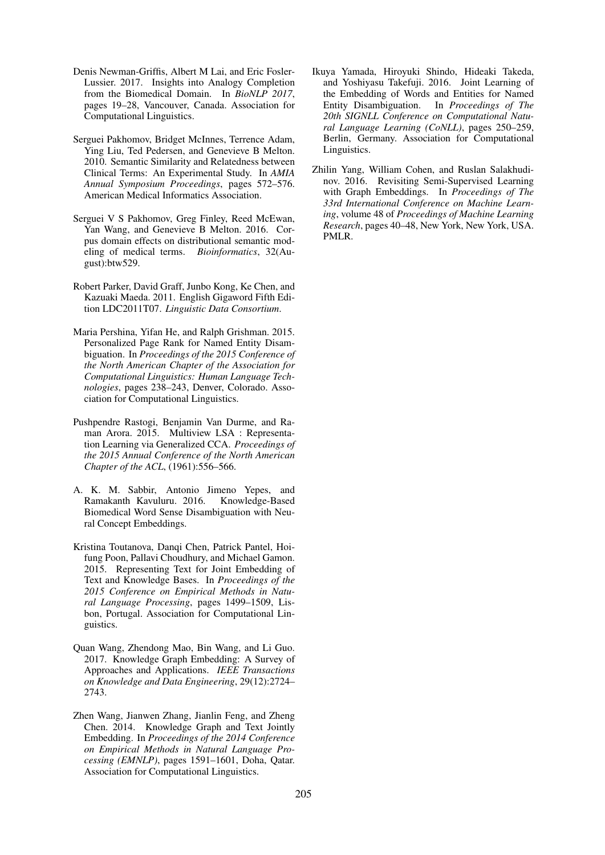- Denis Newman-Griffis, Albert M Lai, and Eric Fosler-Lussier. 2017. Insights into Analogy Completion from the Biomedical Domain. In *BioNLP 2017*, pages 19–28, Vancouver, Canada. Association for Computational Linguistics.
- Serguei Pakhomov, Bridget McInnes, Terrence Adam, Ying Liu, Ted Pedersen, and Genevieve B Melton. 2010. Semantic Similarity and Relatedness between Clinical Terms: An Experimental Study. In *AMIA Annual Symposium Proceedings*, pages 572–576. American Medical Informatics Association.
- Serguei V S Pakhomov, Greg Finley, Reed McEwan, Yan Wang, and Genevieve B Melton. 2016. Corpus domain effects on distributional semantic modeling of medical terms. *Bioinformatics*, 32(August):btw529.
- Robert Parker, David Graff, Junbo Kong, Ke Chen, and Kazuaki Maeda. 2011. English Gigaword Fifth Edition LDC2011T07. *Linguistic Data Consortium*.
- Maria Pershina, Yifan He, and Ralph Grishman. 2015. Personalized Page Rank for Named Entity Disambiguation. In *Proceedings of the 2015 Conference of the North American Chapter of the Association for Computational Linguistics: Human Language Technologies*, pages 238–243, Denver, Colorado. Association for Computational Linguistics.
- Pushpendre Rastogi, Benjamin Van Durme, and Raman Arora. 2015. Multiview LSA : Representation Learning via Generalized CCA. *Proceedings of the 2015 Annual Conference of the North American Chapter of the ACL*, (1961):556–566.
- A. K. M. Sabbir, Antonio Jimeno Yepes, and Ramakanth Kavuluru. 2016. Knowledge-Based Biomedical Word Sense Disambiguation with Neural Concept Embeddings.
- Kristina Toutanova, Danqi Chen, Patrick Pantel, Hoifung Poon, Pallavi Choudhury, and Michael Gamon. 2015. Representing Text for Joint Embedding of Text and Knowledge Bases. In *Proceedings of the 2015 Conference on Empirical Methods in Natural Language Processing*, pages 1499–1509, Lisbon, Portugal. Association for Computational Linguistics.
- Quan Wang, Zhendong Mao, Bin Wang, and Li Guo. 2017. Knowledge Graph Embedding: A Survey of Approaches and Applications. *IEEE Transactions on Knowledge and Data Engineering*, 29(12):2724– 2743.
- Zhen Wang, Jianwen Zhang, Jianlin Feng, and Zheng Chen. 2014. Knowledge Graph and Text Jointly Embedding. In *Proceedings of the 2014 Conference on Empirical Methods in Natural Language Processing (EMNLP)*, pages 1591–1601, Doha, Qatar. Association for Computational Linguistics.
- Ikuya Yamada, Hiroyuki Shindo, Hideaki Takeda, and Yoshiyasu Takefuji. 2016. Joint Learning of the Embedding of Words and Entities for Named Entity Disambiguation. In *Proceedings of The 20th SIGNLL Conference on Computational Natural Language Learning (CoNLL)*, pages 250–259, Berlin, Germany. Association for Computational Linguistics.
- Zhilin Yang, William Cohen, and Ruslan Salakhudinov. 2016. Revisiting Semi-Supervised Learning with Graph Embeddings. In *Proceedings of The 33rd International Conference on Machine Learning*, volume 48 of *Proceedings of Machine Learning Research*, pages 40–48, New York, New York, USA. PMLR.